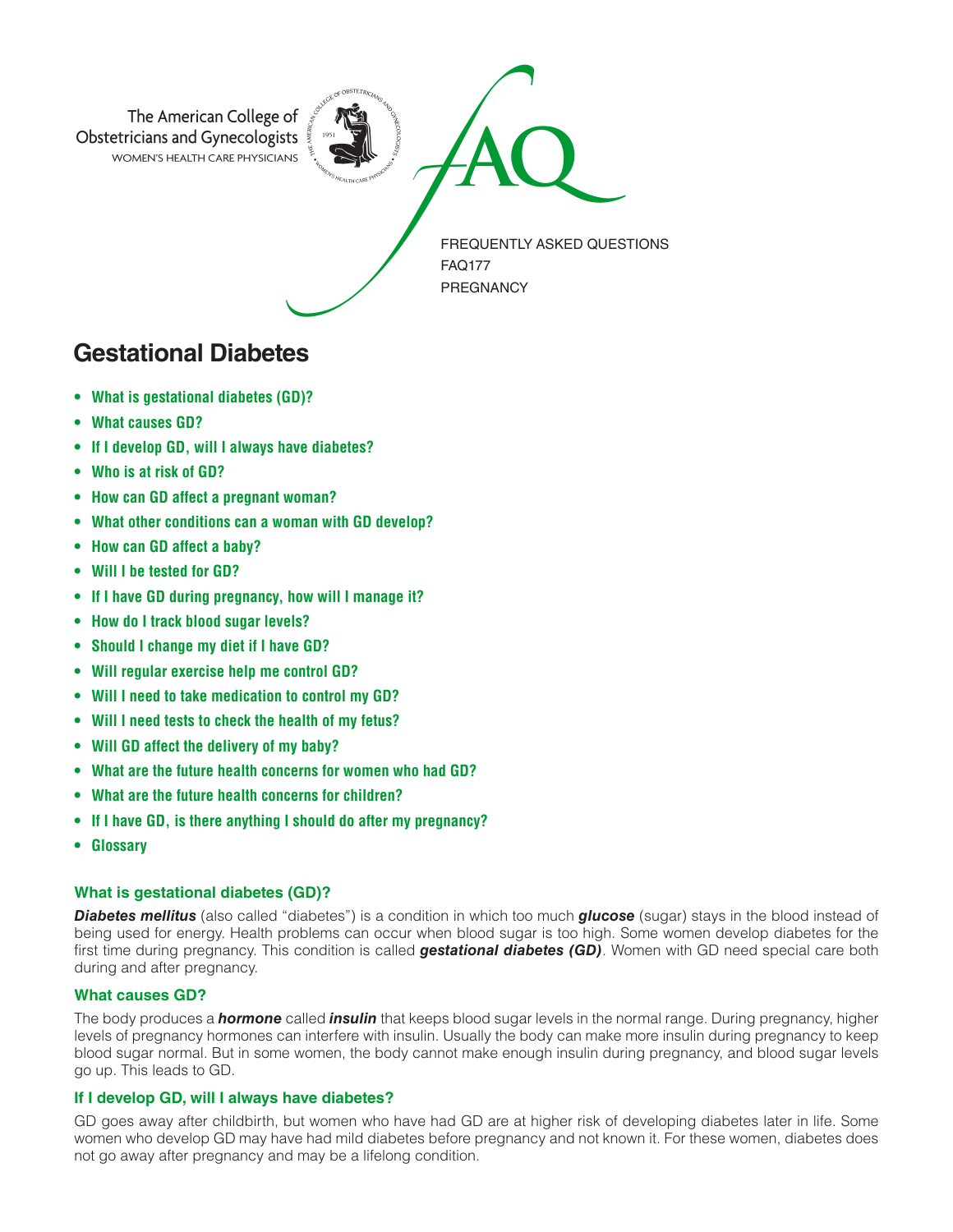

# **Gestational Diabetes**

- **• What is gestational diabetes (GD)?**
- **• What causes GD?**
- **• If I develop GD, will I always have diabetes?**
- **• Who is at risk of GD?**
- **• How can GD affect a pregnant woman?**
- **• What other conditions can a woman with GD develop?**
- **• How can GD affect a baby?**
- **• Will I be tested for GD?**
- **• If I have GD during pregnancy, how will I manage it?**
- **• How do I track blood sugar levels?**
- **• Should I change my diet if I have GD?**
- **• Will regular exercise help me control GD?**
- **• Will I need to take medication to control my GD?**
- **• Will I need tests to check the health of my fetus?**
- **• Will GD affect the delivery of my baby?**
- **• What are the future health concerns for women who had GD?**
- **• What are the future health concerns for children?**
- **• If I have GD, is there anything I should do after my pregnancy?**
- **• Glossary**

# **What is gestational diabetes (GD)?**

*Diabetes mellitus* (also called "diabetes") is a condition in which too much *glucose* (sugar) stays in the blood instead of being used for energy. Health problems can occur when blood sugar is too high. Some women develop diabetes for the first time during pregnancy. This condition is called *gestational diabetes (GD)*. Women with GD need special care both during and after pregnancy.

# **What causes GD?**

The body produces a *hormone* called *insulin* that keeps blood sugar levels in the normal range. During pregnancy, higher levels of pregnancy hormones can interfere with insulin. Usually the body can make more insulin during pregnancy to keep blood sugar normal. But in some women, the body cannot make enough insulin during pregnancy, and blood sugar levels go up. This leads to GD.

# **If I develop GD, will I always have diabetes?**

GD goes away after childbirth, but women who have had GD are at higher risk of developing diabetes later in life. Some women who develop GD may have had mild diabetes before pregnancy and not known it. For these women, diabetes does not go away after pregnancy and may be a lifelong condition.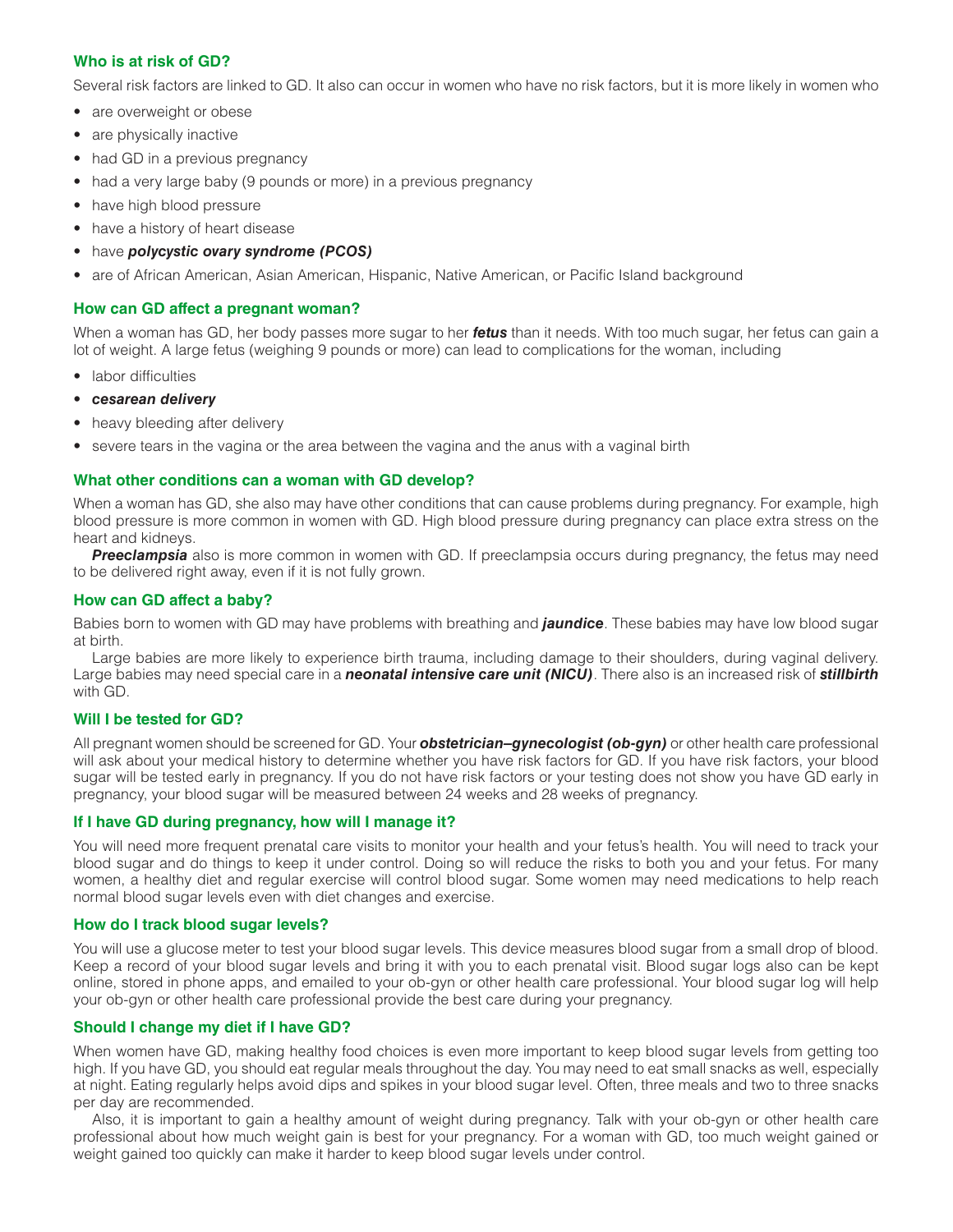# **Who is at risk of GD?**

Several risk factors are linked to GD. It also can occur in women who have no risk factors, but it is more likely in women who

- are overweight or obese
- are physically inactive
- had GD in a previous pregnancy
- had a very large baby (9 pounds or more) in a previous pregnancy
- have high blood pressure
- have a history of heart disease
- have *polycystic ovary syndrome (PCOS)*
- are of African American, Asian American, Hispanic, Native American, or Pacific Island background

## **How can GD affect a pregnant woman?**

When a woman has GD, her body passes more sugar to her *fetus* than it needs. With too much sugar, her fetus can gain a lot of weight. A large fetus (weighing 9 pounds or more) can lead to complications for the woman, including

- labor difficulties
- *cesarean delivery*
- heavy bleeding after delivery
- severe tears in the vagina or the area between the vagina and the anus with a vaginal birth

# **What other conditions can a woman with GD develop?**

When a woman has GD, she also may have other conditions that can cause problems during pregnancy. For example, high blood pressure is more common in women with GD. High blood pressure during pregnancy can place extra stress on the heart and kidneys.

**Preeclampsia** also is more common in women with GD. If preeclampsia occurs during pregnancy, the fetus may need to be delivered right away, even if it is not fully grown.

# **How can GD affect a baby?**

Babies born to women with GD may have problems with breathing and *jaundice*. These babies may have low blood sugar at birth.

Large babies are more likely to experience birth trauma, including damage to their shoulders, during vaginal delivery. Large babies may need special care in a *neonatal intensive care unit (NICU)*. There also is an increased risk of *stillbirth* with GD.

# **Will I be tested for GD?**

All pregnant women should be screened for GD. Your *obstetrician–gynecologist (ob-gyn)* or other health care professional will ask about your medical history to determine whether you have risk factors for GD. If you have risk factors, your blood sugar will be tested early in pregnancy. If you do not have risk factors or your testing does not show you have GD early in pregnancy, your blood sugar will be measured between 24 weeks and 28 weeks of pregnancy.

# **If I have GD during pregnancy, how will I manage it?**

You will need more frequent prenatal care visits to monitor your health and your fetus's health. You will need to track your blood sugar and do things to keep it under control. Doing so will reduce the risks to both you and your fetus. For many women, a healthy diet and regular exercise will control blood sugar. Some women may need medications to help reach normal blood sugar levels even with diet changes and exercise.

#### **How do I track blood sugar levels?**

You will use a glucose meter to test your blood sugar levels. This device measures blood sugar from a small drop of blood. Keep a record of your blood sugar levels and bring it with you to each prenatal visit. Blood sugar logs also can be kept online, stored in phone apps, and emailed to your ob-gyn or other health care professional. Your blood sugar log will help your ob-gyn or other health care professional provide the best care during your pregnancy.

# **Should I change my diet if I have GD?**

When women have GD, making healthy food choices is even more important to keep blood sugar levels from getting too high. If you have GD, you should eat regular meals throughout the day. You may need to eat small snacks as well, especially at night. Eating regularly helps avoid dips and spikes in your blood sugar level. Often, three meals and two to three snacks per day are recommended.

Also, it is important to gain a healthy amount of weight during pregnancy. Talk with your ob-gyn or other health care professional about how much weight gain is best for your pregnancy. For a woman with GD, too much weight gained or weight gained too quickly can make it harder to keep blood sugar levels under control.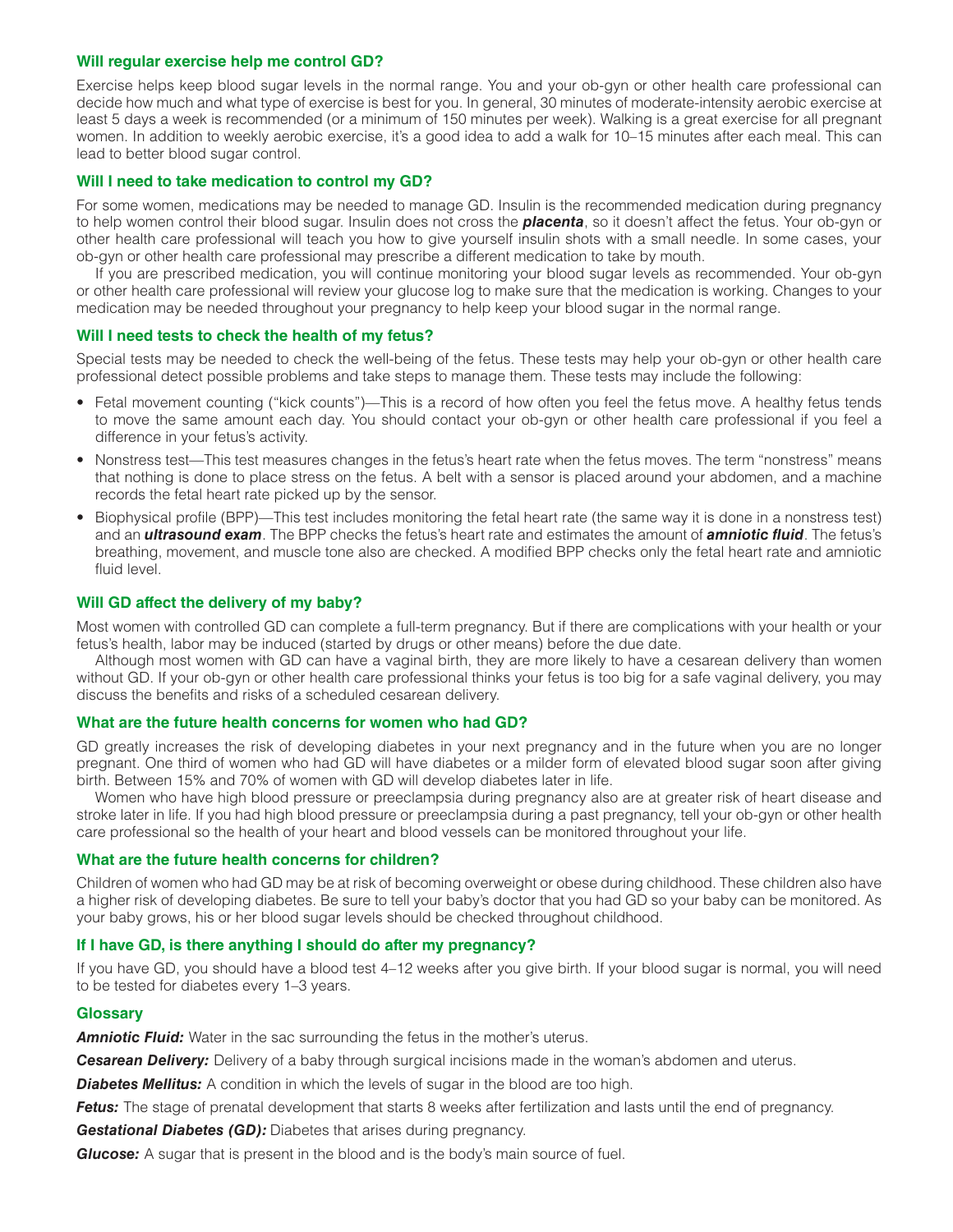#### **Will regular exercise help me control GD?**

Exercise helps keep blood sugar levels in the normal range. You and your ob-gyn or other health care professional can decide how much and what type of exercise is best for you. In general, 30 minutes of moderate-intensity aerobic exercise at least 5 days a week is recommended (or a minimum of 150 minutes per week). Walking is a great exercise for all pregnant women. In addition to weekly aerobic exercise, it's a good idea to add a walk for 10–15 minutes after each meal. This can lead to better blood sugar control.

#### **Will I need to take medication to control my GD?**

For some women, medications may be needed to manage GD. Insulin is the recommended medication during pregnancy to help women control their blood sugar. Insulin does not cross the *placenta*, so it doesn't affect the fetus. Your ob-gyn or other health care professional will teach you how to give yourself insulin shots with a small needle. In some cases, your ob-gyn or other health care professional may prescribe a different medication to take by mouth.

If you are prescribed medication, you will continue monitoring your blood sugar levels as recommended. Your ob-gyn or other health care professional will review your glucose log to make sure that the medication is working. Changes to your medication may be needed throughout your pregnancy to help keep your blood sugar in the normal range.

#### **Will I need tests to check the health of my fetus?**

Special tests may be needed to check the well-being of the fetus. These tests may help your ob-gyn or other health care professional detect possible problems and take steps to manage them. These tests may include the following:

- Fetal movement counting ("kick counts")—This is a record of how often you feel the fetus move. A healthy fetus tends to move the same amount each day. You should contact your ob-gyn or other health care professional if you feel a difference in your fetus's activity.
- Nonstress test—This test measures changes in the fetus's heart rate when the fetus moves. The term "nonstress" means that nothing is done to place stress on the fetus. A belt with a sensor is placed around your abdomen, and a machine records the fetal heart rate picked up by the sensor.
- Biophysical profile (BPP)—This test includes monitoring the fetal heart rate (the same way it is done in a nonstress test) and an *ultrasound exam*. The BPP checks the fetus's heart rate and estimates the amount of *amniotic fluid*. The fetus's breathing, movement, and muscle tone also are checked. A modified BPP checks only the fetal heart rate and amniotic fluid level.

#### **Will GD affect the delivery of my baby?**

Most women with controlled GD can complete a full-term pregnancy. But if there are complications with your health or your fetus's health, labor may be induced (started by drugs or other means) before the due date.

Although most women with GD can have a vaginal birth, they are more likely to have a cesarean delivery than women without GD. If your ob-gyn or other health care professional thinks your fetus is too big for a safe vaginal delivery, you may discuss the benefits and risks of a scheduled cesarean delivery.

#### **What are the future health concerns for women who had GD?**

GD greatly increases the risk of developing diabetes in your next pregnancy and in the future when you are no longer pregnant. One third of women who had GD will have diabetes or a milder form of elevated blood sugar soon after giving birth. Between 15% and 70% of women with GD will develop diabetes later in life.

Women who have high blood pressure or preeclampsia during pregnancy also are at greater risk of heart disease and stroke later in life. If you had high blood pressure or preeclampsia during a past pregnancy, tell your ob-gyn or other health care professional so the health of your heart and blood vessels can be monitored throughout your life.

#### **What are the future health concerns for children?**

Children of women who had GD may be at risk of becoming overweight or obese during childhood. These children also have a higher risk of developing diabetes. Be sure to tell your baby's doctor that you had GD so your baby can be monitored. As your baby grows, his or her blood sugar levels should be checked throughout childhood.

#### **If I have GD, is there anything I should do after my pregnancy?**

If you have GD, you should have a blood test 4–12 weeks after you give birth. If your blood sugar is normal, you will need to be tested for diabetes every 1–3 years.

#### **Glossary**

**Amniotic Fluid:** Water in the sac surrounding the fetus in the mother's uterus.

*Cesarean Delivery:* Delivery of a baby through surgical incisions made in the woman's abdomen and uterus.

**Diabetes Mellitus:** A condition in which the levels of sugar in the blood are too high.

**Fetus:** The stage of prenatal development that starts 8 weeks after fertilization and lasts until the end of pregnancy.

*Gestational Diabetes (GD):* Diabetes that arises during pregnancy.

*Glucose:* A sugar that is present in the blood and is the body's main source of fuel.